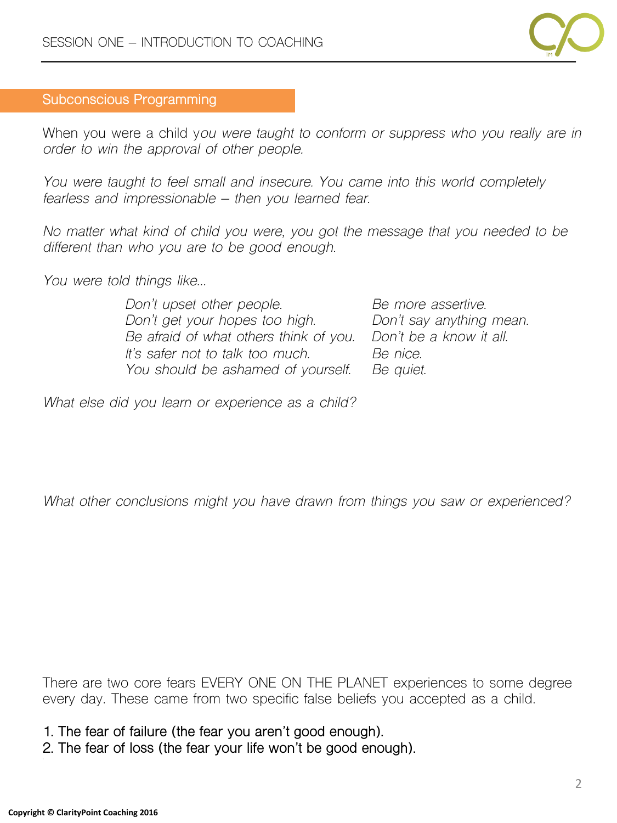

# **Subconscious Programming**

When you were a child y*ou were taught to conform or suppress who you really are in order to win the approval of other people.* 

*You were taught to feel small and insecure. You came into this world completely fearless and impressionable – then you learned fear.* 

*No matter what kind of child you were, you got the message that you needed to be different than who you are to be good enough.* 

*You were told things like...*

*Don't upset other people. Be more assertive. Don't get your hopes too high. Don't say anything mean. Be afraid of what others think of you. Don't be a know it all. It's safer not to talk too much. Be nice. You should be ashamed of yourself.* 

*What else did you learn or experience as a child?* 

*What other conclusions might you have drawn from things you saw or experienced?*

There are two core fears EVERY ONE ON THE PLANET experiences to some degree every day. These came from two specific false beliefs you accepted as a child.

**1. The fear of failure (the fear you aren't good enough).**

**2. The fear of loss (the fear your life won't be good enough).**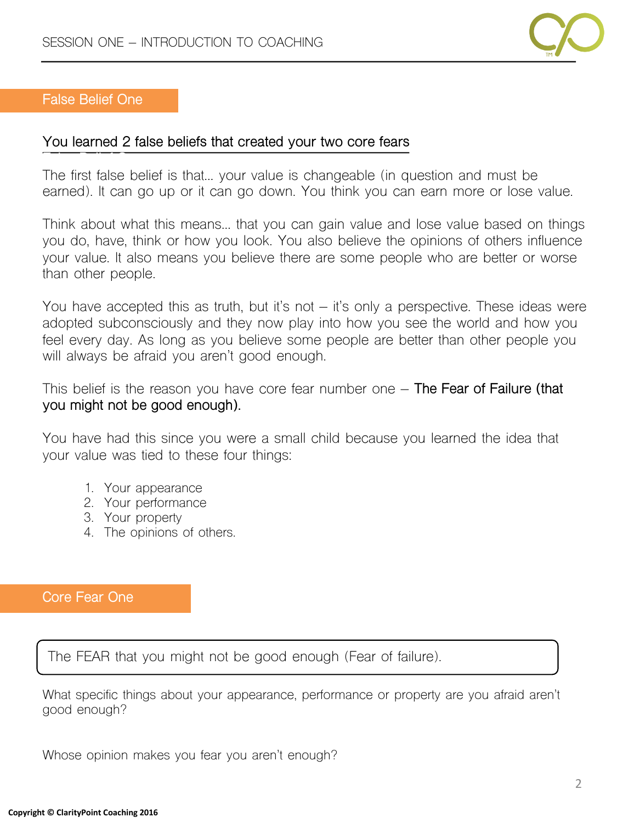

# **False Belief One**

# **You learned 2 false beliefs that created your two core fears**

The first false belief is that… your value is changeable (in question and must be earned). It can go up or it can go down. You think you can earn more or lose value.

Think about what this means… that you can gain value and lose value based on things you do, have, think or how you look. You also believe the opinions of others influence your value. It also means you believe there are some people who are better or worse than other people.

You have accepted this as truth, but it's not – it's only a perspective. These ideas were adopted subconsciously and they now play into how you see the world and how you feel every day. As long as you believe some people are better than other people you will always be afraid you aren't good enough.

This belief is the reason you have core fear number one – **The Fear of Failure (that you might not be good enough).** 

You have had this since you were a small child because you learned the idea that your value was tied to these four things:

- 1. Your appearance
- 2. Your performance
- 3. Your property
- 4. The opinions of others.

# **Core Fear One**

The FEAR that you might not be good enough (Fear of failure).

What specific things about your appearance, performance or property are you afraid aren't good enough?

Whose opinion makes you fear you aren't enough?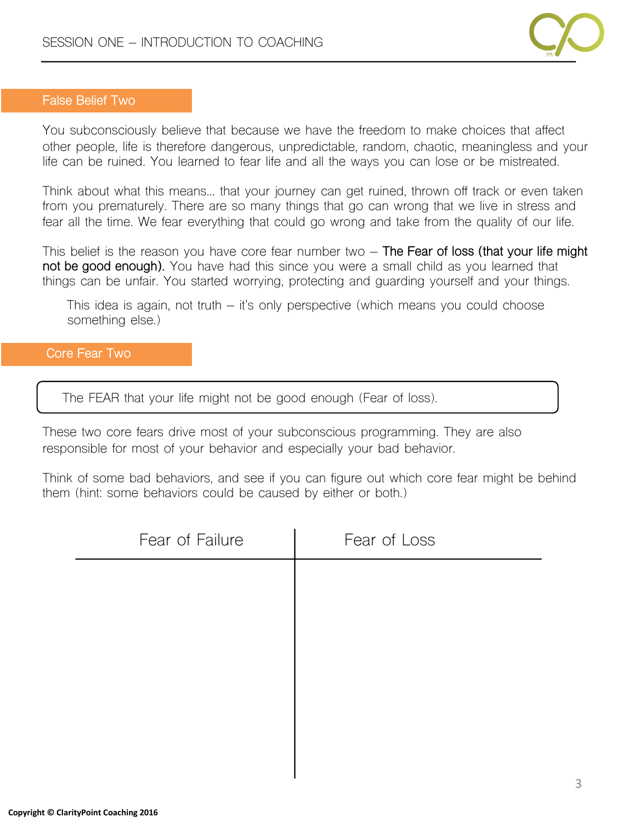

# **False Belief Two**

You subconsciously believe that because we have the freedom to make choices that affect other people, life is therefore dangerous, unpredictable, random, chaotic, meaningless and your life can be ruined. You learned to fear life and all the ways you can lose or be mistreated.

Think about what this means… that your journey can get ruined, thrown off track or even taken from you prematurely. There are so many things that go can wrong that we live in stress and fear all the time. We fear everything that could go wrong and take from the quality of our life.

This belief is the reason you have core fear number two – **The Fear of loss (that your life might not be good enough).** You have had this since you were a small child as you learned that things can be unfair. You started worrying, protecting and guarding yourself and your things.

This idea is again, not truth – it's only perspective (which means you could choose something else.)

**Core Fear Two**

The FEAR that your life might not be good enough (Fear of loss).

These two core fears drive most of your subconscious programming. They are also responsible for most of your behavior and especially your bad behavior.

Think of some bad behaviors, and see if you can figure out which core fear might be behind them (hint: some behaviors could be caused by either or both.)

| Fear of Failure | Fear of Loss |
|-----------------|--------------|
|                 |              |
|                 |              |
|                 |              |
|                 |              |
|                 |              |
|                 |              |
|                 |              |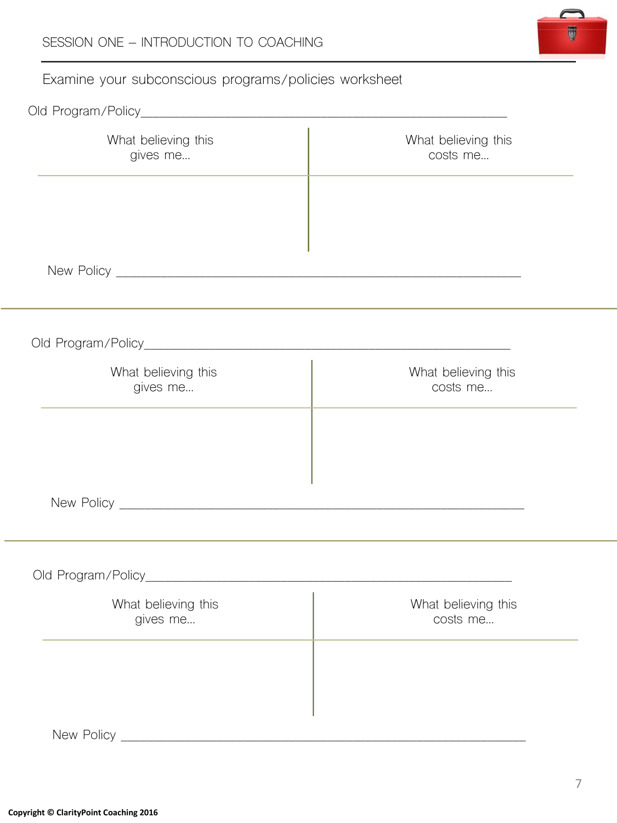# Examine your subconscious programs/policies worksheet

| What believing this<br>gives me | What believing this<br>costs me |
|---------------------------------|---------------------------------|
|                                 |                                 |
|                                 |                                 |
|                                 |                                 |
|                                 |                                 |
| What believing this<br>gives me | What believing this<br>costs me |
|                                 |                                 |
|                                 |                                 |
|                                 |                                 |
|                                 |                                 |
| What believing this<br>gives me | What believing this<br>costs me |
|                                 |                                 |
|                                 |                                 |
| New Policy                      |                                 |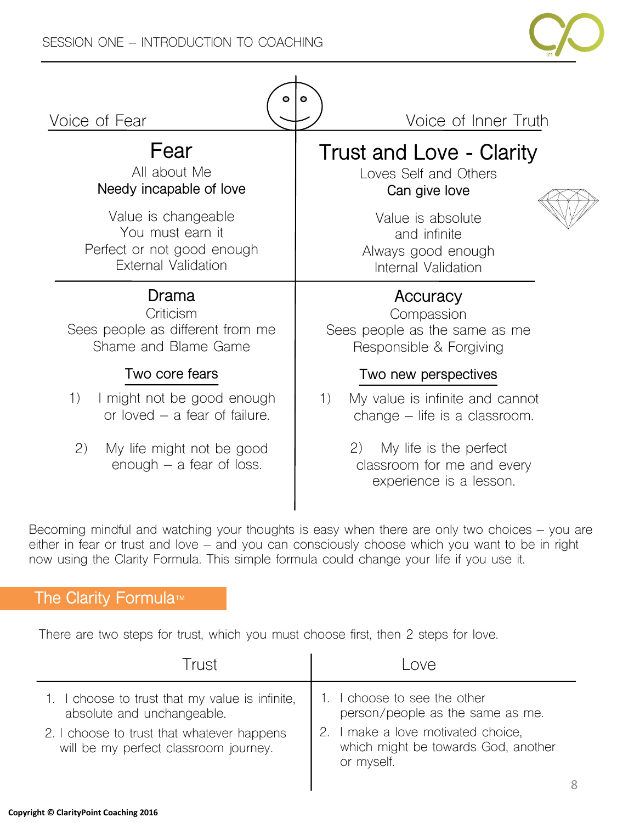



Becoming mindful and watching your thoughts is easy when there are only two choices – you are either in fear or trust and love – and you can consciously choose which you want to be in right now using the Clarity Formula. This simple formula could change your life if you use it.

# **The Clarity Formula™**

There are two steps for trust, which you must choose first, then 2 steps for love.

| Trust                                                                               | . OVA                                                                                   |
|-------------------------------------------------------------------------------------|-----------------------------------------------------------------------------------------|
| 1. I choose to trust that my value is infinite,<br>absolute and unchangeable.       | 1. I choose to see the other<br>person/people as the same as me.                        |
| 2. I choose to trust that whatever happens<br>will be my perfect classroom journey. | 2. I make a love motivated choice,<br>which might be towards God, another<br>or myself. |
|                                                                                     |                                                                                         |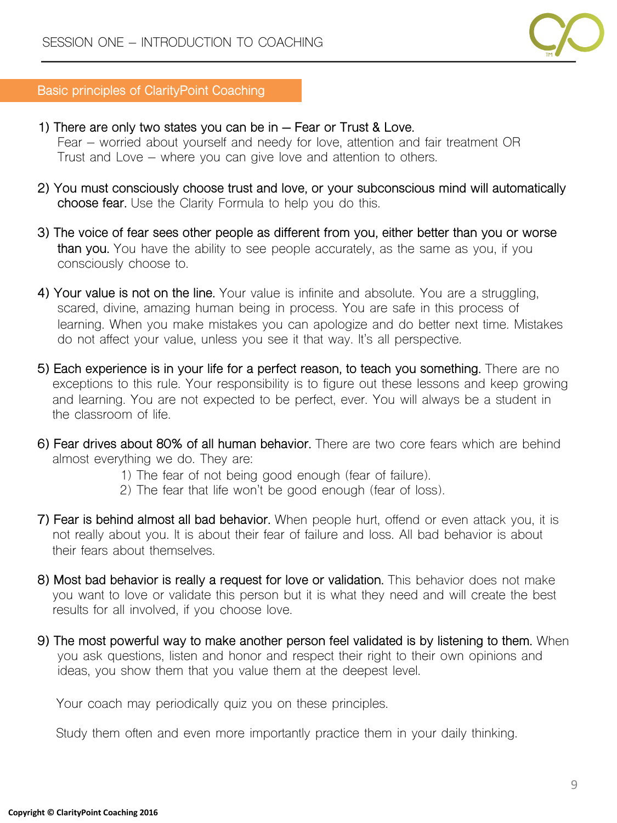

### **Basic principles of ClarityPoint Coaching**

- **1) There are only two states you can be in – Fear or Trust & Love.**  Fear – worried about yourself and needy for love, attention and fair treatment OR Trust and Love – where you can give love and attention to others.
- **2) You must consciously choose trust and love, or your subconscious mind will automatically choose fear.** Use the Clarity Formula to help you do this.
- **3) The voice of fear sees other people as different from you, either better than you or worse than you.** You have the ability to see people accurately, as the same as you, if you consciously choose to.
- **4) Your value is not on the line.** Your value is infinite and absolute. You are a struggling, scared, divine, amazing human being in process. You are safe in this process of learning. When you make mistakes you can apologize and do better next time. Mistakes do not affect your value, unless you see it that way. It's all perspective.
- **5) Each experience is in your life for a perfect reason, to teach you something.** There are no exceptions to this rule. Your responsibility is to figure out these lessons and keep growing and learning. You are not expected to be perfect, ever. You will always be a student in the classroom of life.
- **6) Fear drives about 80% of all human behavior.** There are two core fears which are behind almost everything we do. They are:
	- 1) The fear of not being good enough (fear of failure).
	- 2) The fear that life won't be good enough (fear of loss).
- **7) Fear is behind almost all bad behavior.** When people hurt, offend or even attack you, it is not really about you. It is about their fear of failure and loss. All bad behavior is about their fears about themselves.
- **8) Most bad behavior is really a request for love or validation.** This behavior does not make you want to love or validate this person but it is what they need and will create the best results for all involved, if you choose love.
- **9) The most powerful way to make another person feel validated is by listening to them.** When you ask questions, listen and honor and respect their right to their own opinions and ideas, you show them that you value them at the deepest level.

Your coach may periodically quiz you on these principles.

Study them often and even more importantly practice them in your daily thinking.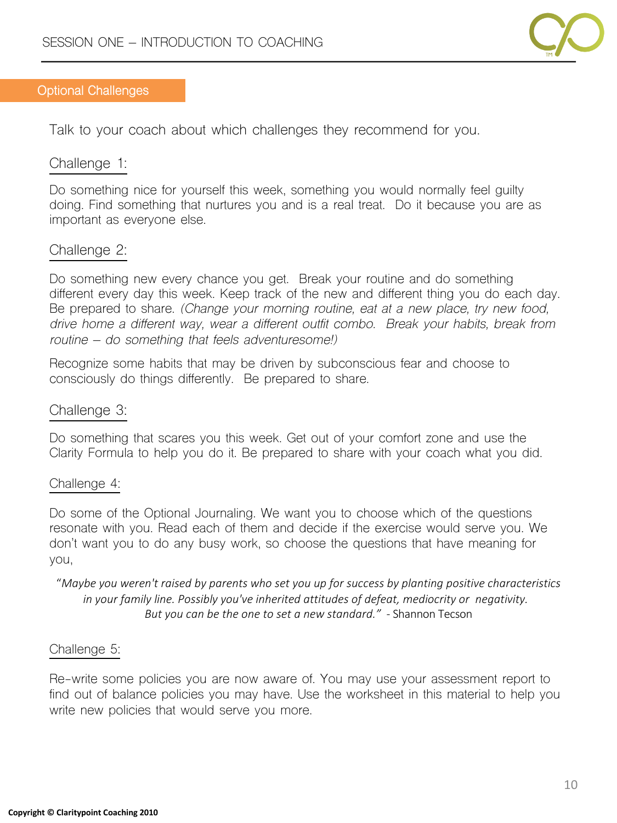

# **Optional Challenges**

Talk to your coach about which challenges they recommend for you.

# Challenge 1:

Do something nice for yourself this week, something you would normally feel guilty doing. Find something that nurtures you and is a real treat. Do it because you are as important as everyone else.

# Challenge 2:

Do something new every chance you get. Break your routine and do something different every day this week. Keep track of the new and different thing you do each day. Be prepared to share. *(Change your morning routine, eat at a new place, try new food, drive home a different way, wear a different outfit combo. Break your habits, break from routine – do something that feels adventuresome!)*

Recognize some habits that may be driven by subconscious fear and choose to consciously do things differently. Be prepared to share.

# Challenge 3:

Do something that scares you this week. Get out of your comfort zone and use the Clarity Formula to help you do it. Be prepared to share with your coach what you did.

# Challenge 4:

Do some of the Optional Journaling. We want you to choose which of the questions resonate with you. Read each of them and decide if the exercise would serve you. We don't want you to do any busy work, so choose the questions that have meaning for you,

"*Maybe you weren't raised by parents who set you up for success by planting positive characteristics in your family line. Possibly you've inherited attitudes of defeat, mediocrity or negativity. But you can be the one to set a new standard."* - Shannon Tecson

# Challenge 5:

Re-write some policies you are now aware of. You may use your assessment report to find out of balance policies you may have. Use the worksheet in this material to help you write new policies that would serve you more.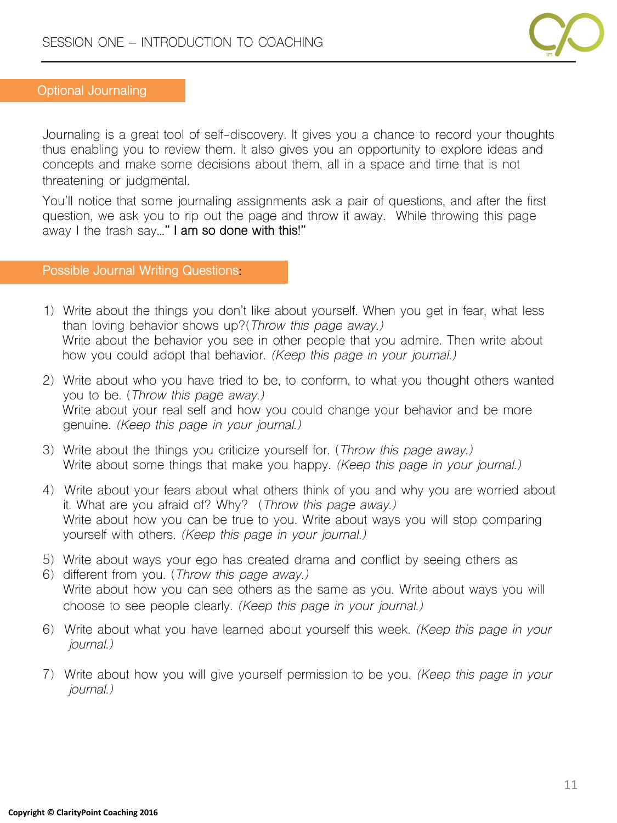

### **Optional Journaling**

Journaling is a great tool of self-discovery. It gives you a chance to record your thoughts thus enabling you to review them. It also gives you an opportunity to explore ideas and concepts and make some decisions about them, all in a space and time that is not threatening or judgmental.

You'll notice that some journaling assignments ask a pair of questions, and after the first question, we ask you to rip out the page and throw it away. While throwing this page away I the trash say**…" I am so done with this!"**

#### **Possible Journal Writing Questions:**

- 1) Write about the things you don't like about yourself. When you get in fear, what less than loving behavior shows up?(*Throw this page away.)* Write about the behavior you see in other people that you admire. Then write about how you could adopt that behavior. *(Keep this page in your journal.)*
- 2) Write about who you have tried to be, to conform, to what you thought others wanted you to be. (*Throw this page away.)*  Write about your real self and how you could change your behavior and be more genuine. *(Keep this page in your journal.)*
- 3) Write about the things you criticize yourself for. (*Throw this page away.)*  Write about some things that make you happy. *(Keep this page in your journal.)*
- 4) Write about your fears about what others think of you and why you are worried about it. What are you afraid of? Why? (*Throw this page away.)* Write about how you can be true to you. Write about ways you will stop comparing yourself with others. *(Keep this page in your journal.)*
- 5) Write about ways your ego has created drama and conflict by seeing others as
- 6) different from you. (*Throw this page away.)* Write about how you can see others as the same as you. Write about ways you will choose to see people clearly. *(Keep this page in your journal.)*
- 6) Write about what you have learned about yourself this week. *(Keep this page in your journal.)*
- 7) Write about how you will give yourself permission to be you. *(Keep this page in your journal.)*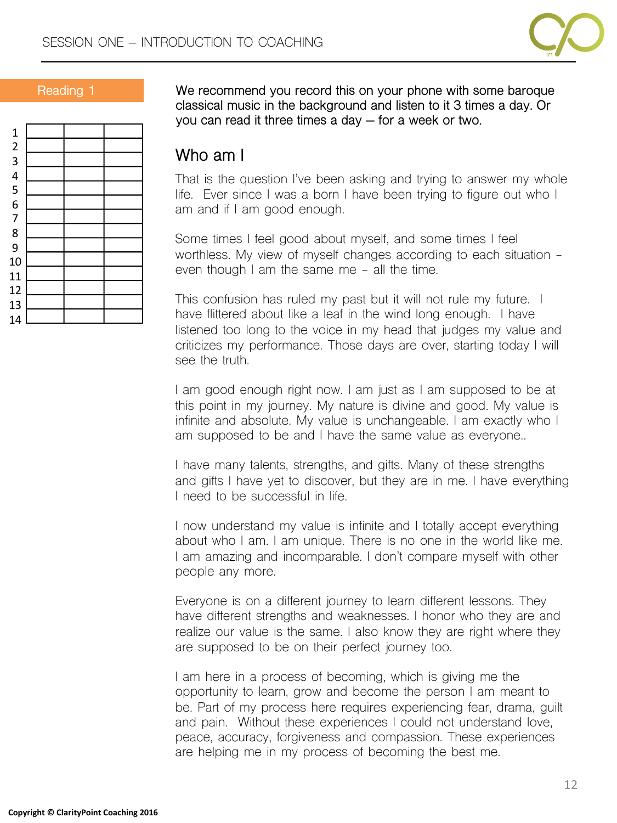

| 12345678 |  |  |
|----------|--|--|
|          |  |  |
|          |  |  |
|          |  |  |
| 9        |  |  |
| 10       |  |  |
| 11       |  |  |
| 12       |  |  |
| 13       |  |  |
| 14       |  |  |

**Reading 1 We recommend you record this on your phone with some baroque classical music in the background and listen to it 3 times a day. Or you can read it three times a day – for a week or two.**

# **Who am I**

That is the question I've been asking and trying to answer my whole life. Ever since I was a born I have been trying to figure out who I am and if I am good enough.

Some times I feel good about myself, and some times I feel worthless. My view of myself changes according to each situation even though I am the same me - all the time.

This confusion has ruled my past but it will not rule my future. I have flittered about like a leaf in the wind long enough. I have listened too long to the voice in my head that judges my value and criticizes my performance. Those days are over, starting today I will see the truth.

I am good enough right now. I am just as I am supposed to be at this point in my journey. My nature is divine and good. My value is infinite and absolute. My value is unchangeable. I am exactly who I am supposed to be and I have the same value as everyone..

I have many talents, strengths, and gifts. Many of these strengths and gifts I have yet to discover, but they are in me. I have everything I need to be successful in life.

I now understand my value is infinite and I totally accept everything about who I am. I am unique. There is no one in the world like me. I am amazing and incomparable. I don't compare myself with other people any more.

Everyone is on a different journey to learn different lessons. They have different strengths and weaknesses. I honor who they are and realize our value is the same. I also know they are right where they are supposed to be on their perfect journey too.

I am here in a process of becoming, which is giving me the opportunity to learn, grow and become the person I am meant to be. Part of my process here requires experiencing fear, drama, guilt and pain. Without these experiences I could not understand love, peace, accuracy, forgiveness and compassion. These experiences are helping me in my process of becoming the best me.